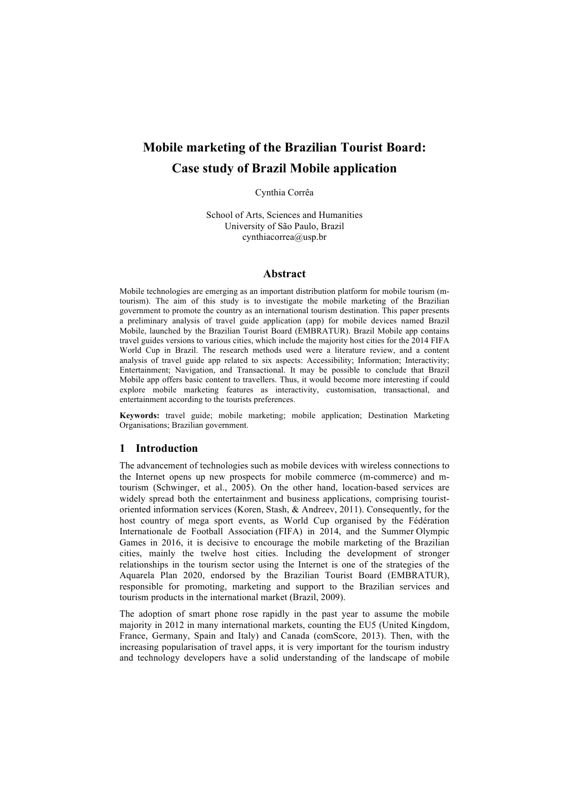# **Mobile marketing of the Brazilian Tourist Board: Case study of Brazil Mobile application**

Cynthia Corrêa

School of Arts, Sciences and Humanities University of São Paulo, Brazil cynthiacorrea@usp.br

#### **Abstract**

Mobile technologies are emerging as an important distribution platform for mobile tourism (mtourism). The aim of this study is to investigate the mobile marketing of the Brazilian government to promote the country as an international tourism destination. This paper presents a preliminary analysis of travel guide application (app) for mobile devices named Brazil Mobile, launched by the Brazilian Tourist Board (EMBRATUR). Brazil Mobile app contains travel guides versions to various cities, which include the majority host cities for the 2014 FIFA World Cup in Brazil. The research methods used were a literature review, and a content analysis of travel guide app related to six aspects: Accessibility; Information; Interactivity; Entertainment; Navigation, and Transactional. It may be possible to conclude that Brazil Mobile app offers basic content to travellers. Thus, it would become more interesting if could explore mobile marketing features as interactivity, customisation, transactional, and entertainment according to the tourists preferences.

**Keywords:** travel guide; mobile marketing; mobile application; Destination Marketing Organisations; Brazilian government.

#### **1 Introduction**

The advancement of technologies such as mobile devices with wireless connections to the Internet opens up new prospects for mobile commerce (m-commerce) and mtourism (Schwinger, et al., 2005). On the other hand, location-based services are widely spread both the entertainment and business applications, comprising touristoriented information services (Koren, Stash, & Andreev, 2011). Consequently, for the host country of mega sport events, as World Cup organised by the Fédération Internationale de Football Association (FIFA) in 2014, and the Summer Olympic Games in 2016, it is decisive to encourage the mobile marketing of the Brazilian cities, mainly the twelve host cities. Including the development of stronger relationships in the tourism sector using the Internet is one of the strategies of the Aquarela Plan 2020, endorsed by the Brazilian Tourist Board (EMBRATUR), responsible for promoting, marketing and support to the Brazilian services and tourism products in the international market (Brazil, 2009).

The adoption of smart phone rose rapidly in the past year to assume the mobile majority in 2012 in many international markets, counting the EU5 (United Kingdom, France, Germany, Spain and Italy) and Canada (comScore, 2013). Then, with the increasing popularisation of travel apps, it is very important for the tourism industry and technology developers have a solid understanding of the landscape of mobile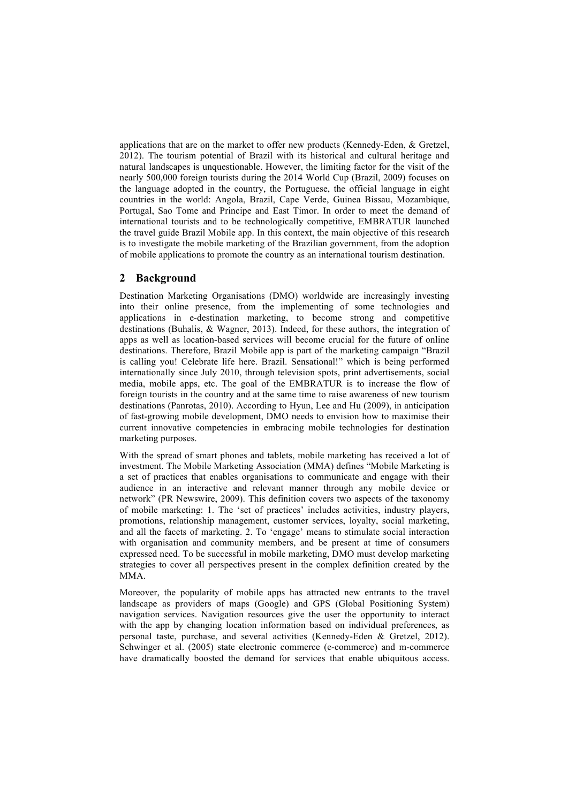applications that are on the market to offer new products (Kennedy-Eden, & Gretzel, 2012). The tourism potential of Brazil with its historical and cultural heritage and natural landscapes is unquestionable. However, the limiting factor for the visit of the nearly 500,000 foreign tourists during the 2014 World Cup (Brazil, 2009) focuses on the language adopted in the country, the Portuguese, the official language in eight countries in the world: Angola, Brazil, Cape Verde, Guinea Bissau, Mozambique, Portugal, Sao Tome and Principe and East Timor. In order to meet the demand of international tourists and to be technologically competitive, EMBRATUR launched the travel guide Brazil Mobile app. In this context, the main objective of this research is to investigate the mobile marketing of the Brazilian government, from the adoption of mobile applications to promote the country as an international tourism destination.

# **2 Background**

Destination Marketing Organisations (DMO) worldwide are increasingly investing into their online presence, from the implementing of some technologies and applications in e-destination marketing, to become strong and competitive destinations (Buhalis, & Wagner, 2013). Indeed, for these authors, the integration of apps as well as location-based services will become crucial for the future of online destinations. Therefore, Brazil Mobile app is part of the marketing campaign "Brazil is calling you! Celebrate life here. Brazil. Sensational!" which is being performed internationally since July 2010, through television spots, print advertisements, social media, mobile apps, etc. The goal of the EMBRATUR is to increase the flow of foreign tourists in the country and at the same time to raise awareness of new tourism destinations (Panrotas, 2010). According to Hyun, Lee and Hu (2009), in anticipation of fast-growing mobile development, DMO needs to envision how to maximise their current innovative competencies in embracing mobile technologies for destination marketing purposes.

With the spread of smart phones and tablets, mobile marketing has received a lot of investment. The Mobile Marketing Association (MMA) defines "Mobile Marketing is a set of practices that enables organisations to communicate and engage with their audience in an interactive and relevant manner through any mobile device or network" (PR Newswire, 2009). This definition covers two aspects of the taxonomy of mobile marketing: 1. The 'set of practices' includes activities, industry players, promotions, relationship management, customer services, loyalty, social marketing, and all the facets of marketing. 2. To 'engage' means to stimulate social interaction with organisation and community members, and be present at time of consumers expressed need. To be successful in mobile marketing, DMO must develop marketing strategies to cover all perspectives present in the complex definition created by the MMA.

Moreover, the popularity of mobile apps has attracted new entrants to the travel landscape as providers of maps (Google) and GPS (Global Positioning System) navigation services. Navigation resources give the user the opportunity to interact with the app by changing location information based on individual preferences, as personal taste, purchase, and several activities (Kennedy-Eden & Gretzel, 2012). Schwinger et al. (2005) state electronic commerce (e-commerce) and m-commerce have dramatically boosted the demand for services that enable ubiquitous access.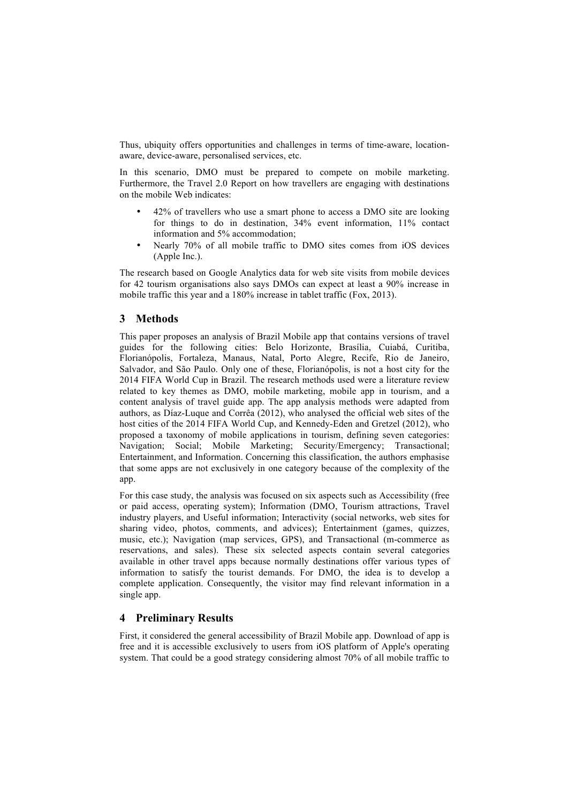Thus, ubiquity offers opportunities and challenges in terms of time-aware, locationaware, device-aware, personalised services, etc.

In this scenario, DMO must be prepared to compete on mobile marketing. Furthermore, the Travel 2.0 Report on how travellers are engaging with destinations on the mobile Web indicates:

- 42% of travellers who use a smart phone to access a DMO site are looking for things to do in destination, 34% event information, 11% contact information and 5% accommodation;
- Nearly 70% of all mobile traffic to DMO sites comes from iOS devices (Apple Inc.).

The research based on Google Analytics data for web site visits from mobile devices for 42 tourism organisations also says DMOs can expect at least a 90% increase in mobile traffic this year and a 180% increase in tablet traffic (Fox, 2013).

# **3 Methods**

This paper proposes an analysis of Brazil Mobile app that contains versions of travel guides for the following cities: Belo Horizonte, Brasília, Cuiabá, Curitiba, Florianópolis, Fortaleza, Manaus, Natal, Porto Alegre, Recife, Rio de Janeiro, Salvador, and São Paulo. Only one of these, Florianópolis, is not a host city for the 2014 FIFA World Cup in Brazil. The research methods used were a literature review related to key themes as DMO, mobile marketing, mobile app in tourism, and a content analysis of travel guide app. The app analysis methods were adapted from authors, as Díaz-Luque and Corrêa (2012), who analysed the official web sites of the host cities of the 2014 FIFA World Cup, and Kennedy-Eden and Gretzel (2012), who proposed a taxonomy of mobile applications in tourism, defining seven categories: Navigation; Social; Mobile Marketing; Security/Emergency; Transactional; Entertainment, and Information. Concerning this classification, the authors emphasise that some apps are not exclusively in one category because of the complexity of the app.

For this case study, the analysis was focused on six aspects such as Accessibility (free or paid access, operating system); Information (DMO, Tourism attractions, Travel industry players, and Useful information; Interactivity (social networks, web sites for sharing video, photos, comments, and advices); Entertainment (games, quizzes, music, etc.); Navigation (map services, GPS), and Transactional (m-commerce as reservations, and sales). These six selected aspects contain several categories available in other travel apps because normally destinations offer various types of information to satisfy the tourist demands. For DMO, the idea is to develop a complete application. Consequently, the visitor may find relevant information in a single app.

# **4 Preliminary Results**

First, it considered the general accessibility of Brazil Mobile app. Download of app is free and it is accessible exclusively to users from iOS platform of Apple's operating system. That could be a good strategy considering almost 70% of all mobile traffic to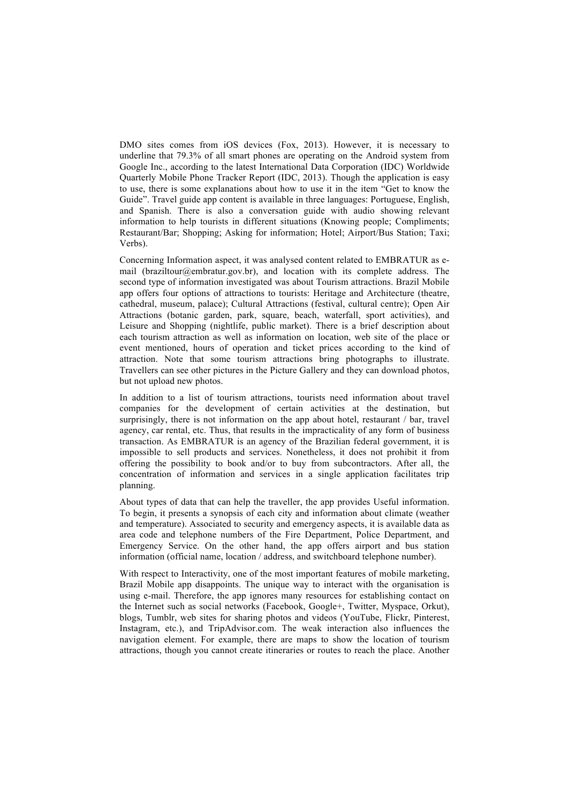DMO sites comes from iOS devices (Fox, 2013). However, it is necessary to underline that 79.3% of all smart phones are operating on the Android system from Google Inc., according to the latest International Data Corporation (IDC) Worldwide Quarterly Mobile Phone Tracker Report (IDC, 2013). Though the application is easy to use, there is some explanations about how to use it in the item "Get to know the Guide". Travel guide app content is available in three languages: Portuguese, English, and Spanish. There is also a conversation guide with audio showing relevant information to help tourists in different situations (Knowing people; Compliments; Restaurant/Bar; Shopping; Asking for information; Hotel; Airport/Bus Station; Taxi; Verbs).

Concerning Information aspect, it was analysed content related to EMBRATUR as email (braziltour@embratur.gov.br), and location with its complete address. The second type of information investigated was about Tourism attractions. Brazil Mobile app offers four options of attractions to tourists: Heritage and Architecture (theatre, cathedral, museum, palace); Cultural Attractions (festival, cultural centre); Open Air Attractions (botanic garden, park, square, beach, waterfall, sport activities), and Leisure and Shopping (nightlife, public market). There is a brief description about each tourism attraction as well as information on location, web site of the place or event mentioned, hours of operation and ticket prices according to the kind of attraction. Note that some tourism attractions bring photographs to illustrate. Travellers can see other pictures in the Picture Gallery and they can download photos, but not upload new photos.

In addition to a list of tourism attractions, tourists need information about travel companies for the development of certain activities at the destination, but surprisingly, there is not information on the app about hotel, restaurant / bar, travel agency, car rental, etc. Thus, that results in the impracticality of any form of business transaction. As EMBRATUR is an agency of the Brazilian federal government, it is impossible to sell products and services. Nonetheless, it does not prohibit it from offering the possibility to book and/or to buy from subcontractors. After all, the concentration of information and services in a single application facilitates trip planning.

About types of data that can help the traveller, the app provides Useful information. To begin, it presents a synopsis of each city and information about climate (weather and temperature). Associated to security and emergency aspects, it is available data as area code and telephone numbers of the Fire Department, Police Department, and Emergency Service. On the other hand, the app offers airport and bus station information (official name, location / address, and switchboard telephone number).

With respect to Interactivity, one of the most important features of mobile marketing. Brazil Mobile app disappoints. The unique way to interact with the organisation is using e-mail. Therefore, the app ignores many resources for establishing contact on the Internet such as social networks (Facebook, Google+, Twitter, Myspace, Orkut), blogs, Tumblr, web sites for sharing photos and videos (YouTube, Flickr, Pinterest, Instagram, etc.), and TripAdvisor.com. The weak interaction also influences the navigation element. For example, there are maps to show the location of tourism attractions, though you cannot create itineraries or routes to reach the place. Another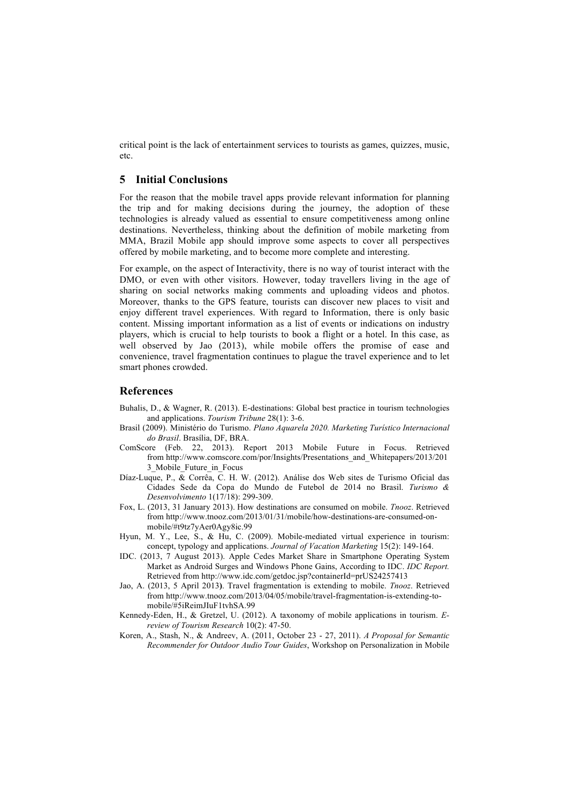critical point is the lack of entertainment services to tourists as games, quizzes, music, etc.

#### **5 Initial Conclusions**

For the reason that the mobile travel apps provide relevant information for planning the trip and for making decisions during the journey, the adoption of these technologies is already valued as essential to ensure competitiveness among online destinations. Nevertheless, thinking about the definition of mobile marketing from MMA, Brazil Mobile app should improve some aspects to cover all perspectives offered by mobile marketing, and to become more complete and interesting.

For example, on the aspect of Interactivity, there is no way of tourist interact with the DMO, or even with other visitors. However, today travellers living in the age of sharing on social networks making comments and uploading videos and photos. Moreover, thanks to the GPS feature, tourists can discover new places to visit and enjoy different travel experiences. With regard to Information, there is only basic content. Missing important information as a list of events or indications on industry players, which is crucial to help tourists to book a flight or a hotel. In this case, as well observed by Jao (2013), while mobile offers the promise of ease and convenience, travel fragmentation continues to plague the travel experience and to let smart phones crowded.

### **References**

- Buhalis, D., & Wagner, R. (2013). E-destinations: Global best practice in tourism technologies and applications. *Tourism Tribune* 28(1): 3-6.
- Brasil (2009). Ministério do Turismo. *Plano Aquarela 2020. Marketing Turístico Internacional do Brasil*. Brasília, DF, BRA.
- ComScore (Feb. 22, 2013). Report 2013 Mobile Future in Focus. Retrieved from http://www.comscore.com/por/Insights/Presentations\_and\_Whitepapers/2013/201 3\_Mobile\_Future\_in\_Focus
- Díaz-Luque, P., & Corrêa, C. H. W. (2012). Análise dos Web sites de Turismo Oficial das Cidades Sede da Copa do Mundo de Futebol de 2014 no Brasil. *Turismo & Desenvolvimento* 1(17/18): 299-309.
- Fox, L. (2013, 31 January 2013). How destinations are consumed on mobile. *Tnooz*. Retrieved from http://www.tnooz.com/2013/01/31/mobile/how-destinations-are-consumed-onmobile/#t9tz7yAer0Agy8ic.99
- Hyun, M. Y., Lee, S., & Hu, C. (2009). Mobile-mediated virtual experience in tourism: concept, typology and applications. *Journal of Vacation Marketing* 15(2): 149-164.
- IDC. (2013, 7 August 2013). Apple Cedes Market Share in Smartphone Operating System Market as Android Surges and Windows Phone Gains, According to IDC. *IDC Report.* Retrieved from http://www.idc.com/getdoc.jsp?containerId=prUS24257413
- Jao, A. (2013, 5 April 2013**)**. Travel fragmentation is extending to mobile. *Tnooz*. Retrieved from http://www.tnooz.com/2013/04/05/mobile/travel-fragmentation-is-extending-tomobile/#5iReimJIuF1tvhSA.99
- Kennedy-Eden, H., & Gretzel, U. (2012). A taxonomy of mobile applications in tourism. *Ereview of Tourism Research* 10(2): 47-50.
- Koren, A., Stash, N., & Andreev, A. (2011, October 23 27, 2011). *A Proposal for Semantic Recommender for Outdoor Audio Tour Guides*, Workshop on Personalization in Mobile